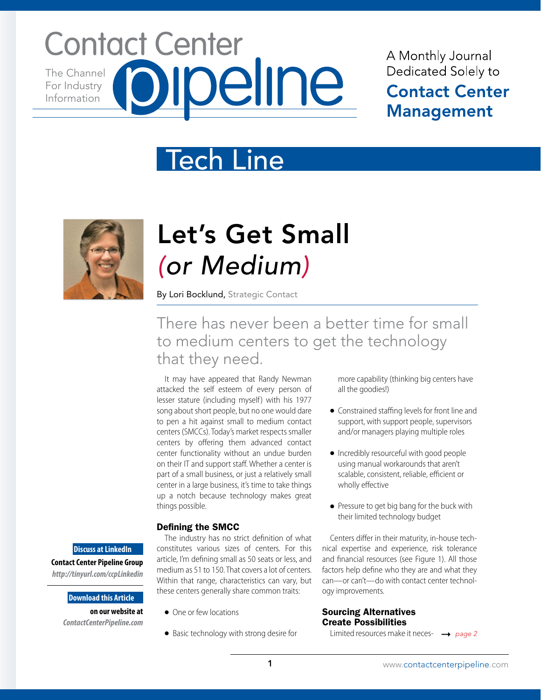## **Contact Center Ipeline** The Channel For Industry Information

## A Monthly Journal Dedicated Solely to **Contact Center Management**

## Tech Line



## Let's Get Small *(or Medium)*

By Lori Bocklund, Strategic Contact

### There has never been a better time for small to medium centers to get the technology that they need.

It may have appeared that Randy Newman attacked the self esteem of every person of lesser stature (including myself) with his 1977 song about short people, but no one would dare to pen a hit against small to medium contact centers (SMCCs). Today's market respects smaller centers by offering them advanced contact center functionality without an undue burden on their IT and support staff. Whether a center is part of a small business, or just a relatively small center in a large business, it's time to take things up a notch because technology makes great things possible.

#### Defining the SMCC

**Discuss at LinkedIn Contact Center Pipeline Group**  *http://tinyurl.com/ccpLinkedin*

#### **Download this Article**

**on our website at**  *ContactCenterPipeline.com*

The industry has no strict definition of what constitutes various sizes of centers. For this article, I'm defining small as 50 seats or less, and medium as 51 to 150. That covers a lot of centers. Within that range, characteristics can vary, but these centers generally share common traits:

- One or few locations
- Basic technology with strong desire for

more capability (thinking big centers have all the goodies!)

- Constrained staffing levels for front line and support, with support people, supervisors and/or managers playing multiple roles
- Incredibly resourceful with good people using manual workarounds that aren't scalable, consistent, reliable, efficient or wholly effective
- Pressure to get big bang for the buck with their limited technology budget

Centers differ in their maturity, in-house technical expertise and experience, risk tolerance and financial resources (see Figure 1). All those factors help define who they are and what they can—or can't—do with contact center technology improvements.

#### Sourcing Alternatives Create Possibilities

Limited resources make it neces-*page 2*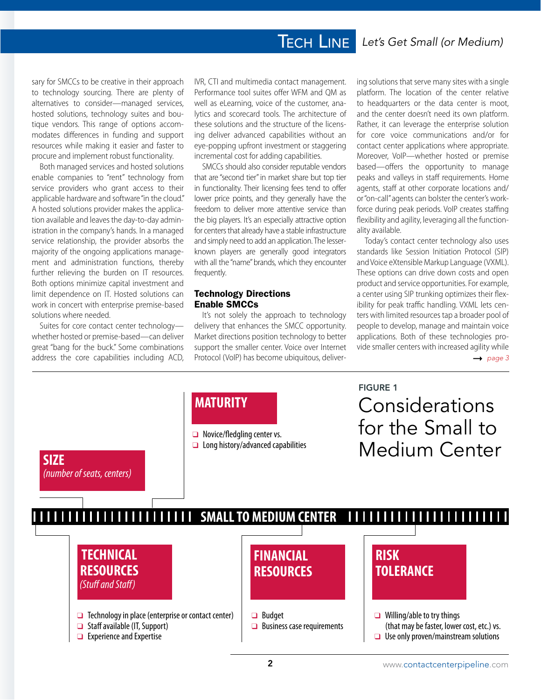### **TECH LINE**

sary for SMCCs to be creative in their approach to technology sourcing. There are plenty of alternatives to consider—managed services, hosted solutions, technology suites and boutique vendors. This range of options accommodates differences in funding and support resources while making it easier and faster to procure and implement robust functionality.

Both managed services and hosted solutions enable companies to "rent" technology from service providers who grant access to their applicable hardware and software "in the cloud." A hosted solutions provider makes the application available and leaves the day-to-day administration in the company's hands. In a managed service relationship, the provider absorbs the majority of the ongoing applications management and administration functions, thereby further relieving the burden on IT resources. Both options minimize capital investment and limit dependence on IT. Hosted solutions can work in concert with enterprise premise-based solutions where needed.

Suites for core contact center technology whether hosted or premise-based—can deliver great "bang for the buck." Some combinations address the core capabilities including ACD, IVR, CTI and multimedia contact management. Performance tool suites offer WFM and QM as well as eLearning, voice of the customer, analytics and scorecard tools. The architecture of these solutions and the structure of the licensing deliver advanced capabilities without an eye-popping upfront investment or staggering incremental cost for adding capabilities.

SMCCs should also consider reputable vendors that are "second tier" in market share but top tier in functionality. Their licensing fees tend to offer lower price points, and they generally have the freedom to deliver more attentive service than the big players. It's an especially attractive option for centers that already have a stable infrastructure and simply need to add an application. The lesserknown players are generally good integrators with all the "name" brands, which they encounter frequently.

#### Technology Directions Enable SMCCs

It's not solely the approach to technology delivery that enhances the SMCC opportunity. Market directions position technology to better support the smaller center. Voice over Internet Protocol (VoIP) has become ubiquitous, delivering solutions that serve many sites with a single platform. The location of the center relative to headquarters or the data center is moot, and the center doesn't need its own platform. Rather, it can leverage the enterprise solution for core voice communications and/or for contact center applications where appropriate. Moreover, VoIP—whether hosted or premise based—offers the opportunity to manage peaks and valleys in staff requirements. Home agents, staff at other corporate locations and/ or "on-call" agents can bolster the center's workforce during peak periods. VoIP creates staffing flexibility and agility, leveraging all the functionality available.

Today's contact center technology also uses standards like Session Initiation Protocol (SIP) and Voice eXtensible Markup Language (VXML). These options can drive down costs and open product and service opportunities. For example, a center using SIP trunking optimizes their flexibility for peak traffic handling. VXML lets centers with limited resources tap a broader pool of people to develop, manage and maintain voice applications. Both of these technologies provide smaller centers with increased agility while  $\rightarrow$  page 3

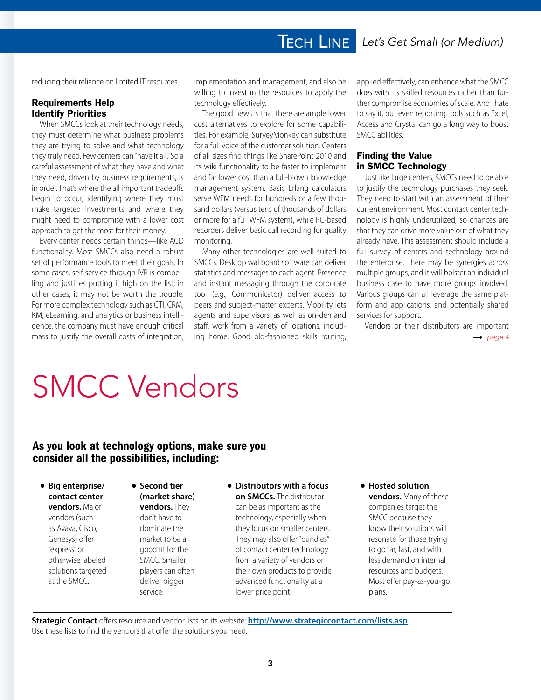reducing their reliance on limited IT resources.

#### Requirements Help Identify Priorities

When SMCCs look at their technology needs, they must determine what business problems they are trying to solve and what technology they truly need. Few centers can "have it all." So a careful assessment of what they have and what they need, driven by business requirements, is in order. That's where the all important tradeoffs begin to occur, identifying where they must make targeted investments and where they might need to compromise with a lower cost approach to get the most for their money.

Every center needs certain things—like ACD functionality. Most SMCCs also need a robust set of performance tools to meet their goals. In some cases, self service through IVR is compelling and justifies putting it high on the list; in other cases, it may not be worth the trouble. For more complex technology such as CTI, CRM, KM, eLearning, and analytics or business intelligence, the company must have enough critical mass to justify the overall costs of integration,

implementation and management, and also be willing to invest in the resources to apply the technology effectively.

The good news is that there are ample lower cost alternatives to explore for some capabilities. For example, SurveyMonkey can substitute for a full voice of the customer solution. Centers of all sizes find things like SharePoint 2010 and its wiki functionality to be faster to implement and far lower cost than a full-blown knowledge management system. Basic Erlang calculators serve WFM needs for hundreds or a few thousand dollars (versus tens of thousands of dollars or more for a full WFM system), while PC-based recorders deliver basic call recording for quality monitoring.

Many other technologies are well suited to SMCCs. Desktop wallboard software can deliver statistics and messages to each agent. Presence and instant messaging through the corporate tool (e.g., Communicator) deliver access to peers and subject-matter experts. Mobility lets agents and supervisors, as well as on-demand staff, work from a variety of locations, including home. Good old-fashioned skills routing, applied effectively, can enhance what the SMCC does with its skilled resources rather than further compromise economies of scale. And I hate to say it, but even reporting tools such as Excel, Access and Crystal can go a long way to boost SMCC abilities.

#### Finding the Value in SMCC Technology

Just like large centers, SMCCs need to be able to justify the technology purchases they seek. They need to start with an assessment of their current environment. Most contact center technology is highly underutilized, so chances are that they can drive more value out of what they already have. This assessment should include a full survey of centers and technology around the enterprise. There may be synergies across multiple groups, and it will bolster an individual business case to have more groups involved. Various groups can all leverage the same platform and applications, and potentially shared services for support.

Vendors or their distributors are important  $\rightarrow$  page 4

# SMCC Vendors

#### As you look at technology options, make sure you consider all the possibilities, including:

● **Big enterprise/ contact center vendors.** Major vendors (such as Avaya, Cisco, Genesys) offer "express" or otherwise labeled solutions targeted

at the SMCC.

- **Second tier (market share) vendors.** They don't have to dominate the market to be a
	- good fit for the SMCC. Smaller players can often deliver bigger service.

#### ● **Distributors with a focus on SMCCs.** The distributor can be as important as the technology, especially when they focus on smaller centers. They may also offer "bundles" of contact center technology from a variety of vendors or their own products to provide advanced functionality at a lower price point.

● **Hosted solution vendors.** Many of these companies target the SMCC because they know their solutions will resonate for those trying to go far, fast, and with less demand on internal resources and budgets. Most offer pay-as-you-go plans.

**Strategic Contact** offers resource and vendor lists on its website: **http://www.strategiccontact.com/lists.asp** Use these lists to find the vendors that offer the solutions you need.